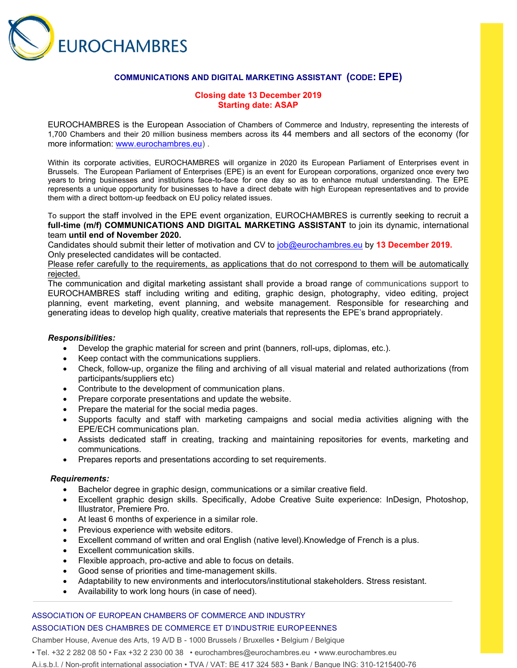

## **COMMUNICATIONS AND DIGITAL MARKETING ASSISTANT (CODE: EPE)**

## **Closing date 13 December 2019 Starting date: ASAP**

EUROCHAMBRES is the European Association of Chambers of Commerce and Industry, representing the interests of 1,700 Chambers and their 20 million business members across its 44 members and all sectors of the economy (for more information: [www.eurochambres.eu\)](http://www.eurochambres.eu/).

Within its corporate activities, EUROCHAMBRES will organize in 2020 its European Parliament of Enterprises event in Brussels. The European Parliament of Enterprises (EPE) is an event for European corporations, organized once every two years to bring businesses and institutions face-to-face for one day so as to enhance mutual understanding. The EPE represents a unique opportunity for businesses to have a direct debate with high European representatives and to provide them with a direct bottom-up feedback on EU policy related issues.

To support the staff involved in the EPE event organization, EUROCHAMBRES is currently seeking to recruit a **full-time (m/f) COMMUNICATIONS AND DIGITAL MARKETING ASSISTANT** to join its dynamic, international team **until end of November 2020.**

Candidates should submit their letter of motivation and CV to [job@eurochambres.eu](mailto:job@eurochambres.eu) by **13 December 2019.** Only preselected candidates will be contacted.

## Please refer carefully to the requirements, as applications that do not correspond to them will be automatically rejected.

The communication and digital marketing assistant shall provide a broad range of communications support to EUROCHAMBRES staff including writing and editing, graphic design, photography, video editing, project planning, event marketing, event planning, and website management. Responsible for researching and generating ideas to develop high quality, creative materials that represents the EPE's brand appropriately.

#### *Responsibilities:*

- Develop the graphic material for screen and print (banners, roll-ups, diplomas, etc.).
- Keep contact with the communications suppliers.
- Check, follow-up, organize the filing and archiving of all visual material and related authorizations (from participants/suppliers etc)
- Contribute to the development of communication plans.
- Prepare corporate presentations and update the website.
- Prepare the material for the social media pages.
- Supports faculty and staff with marketing campaigns and social media activities aligning with the EPE/ECH communications plan.
- Assists dedicated staff in creating, tracking and maintaining repositories for events, marketing and communications.
- Prepares reports and presentations according to set requirements.

#### *Requirements:*

- Bachelor degree in graphic design, communications or a similar creative field.
- Excellent graphic design skills. Specifically, Adobe Creative Suite experience: InDesign, Photoshop, Illustrator, Premiere Pro.
- At least 6 months of experience in a similar role.
- Previous experience with website editors.
- Excellent command of written and oral English (native level).Knowledge of French is a plus.
- Excellent communication skills.
- Flexible approach, pro-active and able to focus on details.
- Good sense of priorities and time-management skills.
- Adaptability to new environments and interlocutors/institutional stakeholders. Stress resistant.
- Availability to work long hours (in case of need).

## ASSOCIATION OF EUROPEAN CHAMBERS OF COMMERCE AND INDUSTRY ASSOCIATION DES CHAMBRES DE COMMERCE ET D'INDUSTRIE EUROPEENNES

Chamber House, Avenue des Arts, 19 A/D B - 1000 Brussels / Bruxelles • Belgium / Belgique

- Tel. +32 2 282 08 50 Fax +32 2 230 00 38 eurochambres@eurochambres.eu www.eurochambres.eu
- A.i.s.b.l. / Non-profit international association TVA / VAT: BE 417 324 583 Bank / Banque ING: 310-1215400-76